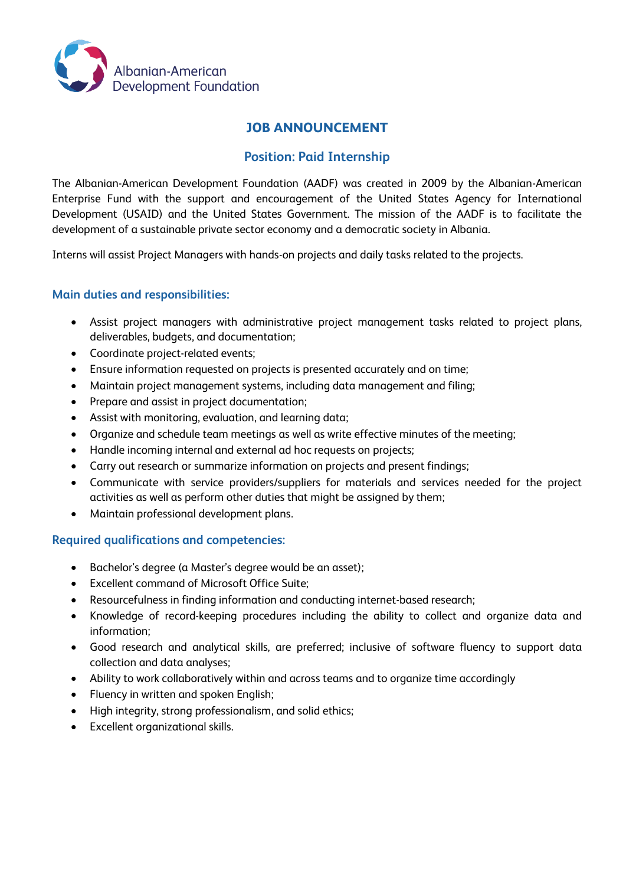

# **JOB ANNOUNCEMENT**

## **Position: Paid Internship**

The Albanian-American Development Foundation (AADF) was created in 2009 by the Albanian-American Enterprise Fund with the support and encouragement of the United States Agency for International Development (USAID) and the United States Government. The mission of the AADF is to facilitate the development of a sustainable private sector economy and a democratic society in Albania.

Interns will assist Project Managers with hands-on projects and daily tasks related to the projects.

#### **Main duties and responsibilities:**

- Assist project managers with administrative project management tasks related to project plans, deliverables, budgets, and documentation;
- Coordinate project-related events;
- Ensure information requested on projects is presented accurately and on time;
- Maintain project management systems, including data management and filing;
- Prepare and assist in project documentation;
- Assist with monitoring, evaluation, and learning data;
- Organize and schedule team meetings as well as write effective minutes of the meeting;
- Handle incoming internal and external ad hoc requests on projects;
- Carry out research or summarize information on projects and present findings;
- Communicate with service providers/suppliers for materials and services needed for the project activities as well as perform other duties that might be assigned by them;
- Maintain professional development plans.

### **Required qualifications and competencies:**

- Bachelor's degree (a Master's degree would be an asset);
- Excellent command of Microsoft Office Suite;
- Resourcefulness in finding information and conducting internet-based research;
- Knowledge of record-keeping procedures including the ability to collect and organize data and information;
- Good research and analytical skills, are preferred; inclusive of software fluency to support data collection and data analyses;
- Ability to work collaboratively within and across teams and to organize time accordingly
- Fluency in written and spoken English;
- High integrity, strong professionalism, and solid ethics;
- Excellent organizational skills.